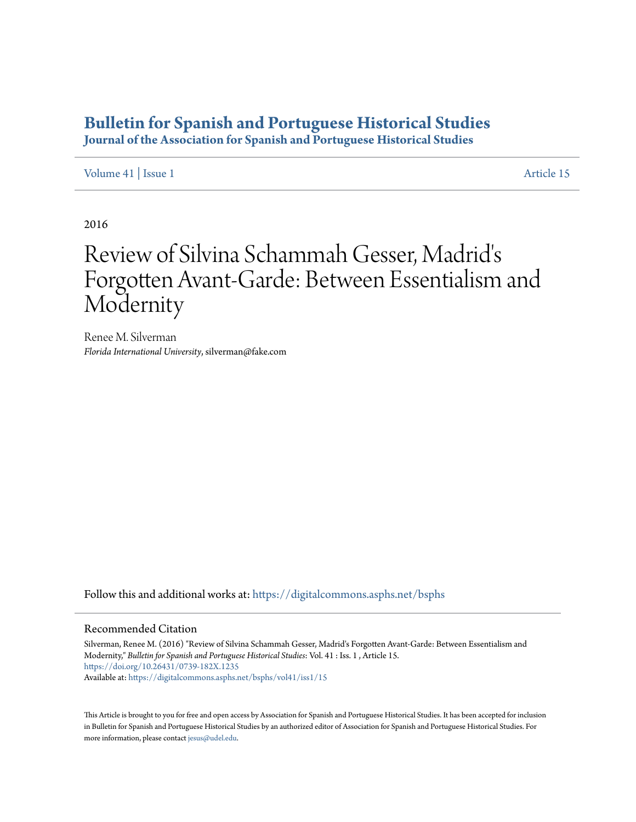## **[Bulletin for Spanish and Portuguese Historical Studies](https://digitalcommons.asphs.net/bsphs?utm_source=digitalcommons.asphs.net%2Fbsphs%2Fvol41%2Fiss1%2F15&utm_medium=PDF&utm_campaign=PDFCoverPages)**

**Journal of the Association for Spanish and Portuguese Historical Studies**

[Volume 41](https://digitalcommons.asphs.net/bsphs/vol41?utm_source=digitalcommons.asphs.net%2Fbsphs%2Fvol41%2Fiss1%2F15&utm_medium=PDF&utm_campaign=PDFCoverPages) | [Issue 1](https://digitalcommons.asphs.net/bsphs/vol41/iss1?utm_source=digitalcommons.asphs.net%2Fbsphs%2Fvol41%2Fiss1%2F15&utm_medium=PDF&utm_campaign=PDFCoverPages) [Article 15](https://digitalcommons.asphs.net/bsphs/vol41/iss1/15?utm_source=digitalcommons.asphs.net%2Fbsphs%2Fvol41%2Fiss1%2F15&utm_medium=PDF&utm_campaign=PDFCoverPages)

2016

## Review of Silvina Schammah Gesser, Madrid's Forgotten Avant-Garde: Between Essentialism and Modernity

Renee M. Silverman *Florida International University*, silverman@fake.com

Follow this and additional works at: [https://digitalcommons.asphs.net/bsphs](https://digitalcommons.asphs.net/bsphs?utm_source=digitalcommons.asphs.net%2Fbsphs%2Fvol41%2Fiss1%2F15&utm_medium=PDF&utm_campaign=PDFCoverPages)

## Recommended Citation

Silverman, Renee M. (2016) "Review of Silvina Schammah Gesser, Madrid's Forgotten Avant-Garde: Between Essentialism and Modernity," *Bulletin for Spanish and Portuguese Historical Studies*: Vol. 41 : Iss. 1 , Article 15. <https://doi.org/10.26431/0739-182X.1235> Available at: [https://digitalcommons.asphs.net/bsphs/vol41/iss1/15](https://digitalcommons.asphs.net/bsphs/vol41/iss1/15?utm_source=digitalcommons.asphs.net%2Fbsphs%2Fvol41%2Fiss1%2F15&utm_medium=PDF&utm_campaign=PDFCoverPages)

This Article is brought to you for free and open access by Association for Spanish and Portuguese Historical Studies. It has been accepted for inclusion in Bulletin for Spanish and Portuguese Historical Studies by an authorized editor of Association for Spanish and Portuguese Historical Studies. For more information, please contact [jesus@udel.edu](mailto:jesus@udel.edu).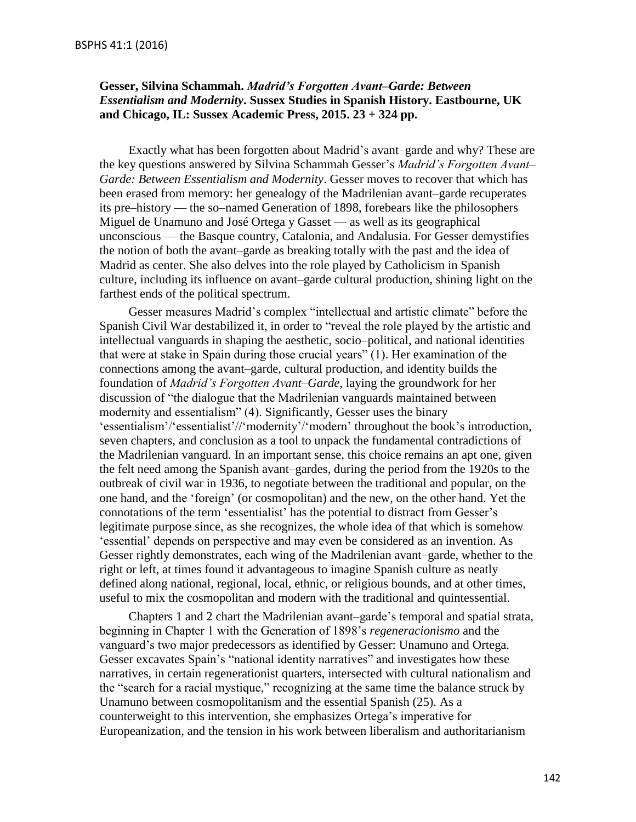## **Gesser, Silvina Schammah.** *Madrid's Forgotten Avant–Garde: Between Essentialism and Modernity***. Sussex Studies in Spanish History. Eastbourne, UK and Chicago, IL: Sussex Academic Press, 2015. 23 + 324 pp.**

Exactly what has been forgotten about Madrid's avant–garde and why? These are the key questions answered by Silvina Schammah Gesser's *Madrid's Forgotten Avant– Garde: Between Essentialism and Modernity*. Gesser moves to recover that which has been erased from memory: her genealogy of the Madrilenian avant–garde recuperates its pre–history — the so–named Generation of 1898, forebears like the philosophers Miguel de Unamuno and José Ortega y Gasset — as well as its geographical unconscious — the Basque country, Catalonia, and Andalusia. For Gesser demystifies the notion of both the avant–garde as breaking totally with the past and the idea of Madrid as center. She also delves into the role played by Catholicism in Spanish culture, including its influence on avant–garde cultural production, shining light on the farthest ends of the political spectrum.

Gesser measures Madrid's complex "intellectual and artistic climate" before the Spanish Civil War destabilized it, in order to "reveal the role played by the artistic and intellectual vanguards in shaping the aesthetic, socio–political, and national identities that were at stake in Spain during those crucial years" (1). Her examination of the connections among the avant–garde, cultural production, and identity builds the foundation of *Madrid's Forgotten Avant–Garde*, laying the groundwork for her discussion of "the dialogue that the Madrilenian vanguards maintained between modernity and essentialism" (4). Significantly, Gesser uses the binary 'essentialism'/'essentialist'//'modernity'/'modern' throughout the book's introduction, seven chapters, and conclusion as a tool to unpack the fundamental contradictions of the Madrilenian vanguard. In an important sense, this choice remains an apt one, given the felt need among the Spanish avant–gardes, during the period from the 1920s to the outbreak of civil war in 1936, to negotiate between the traditional and popular, on the one hand, and the 'foreign' (or cosmopolitan) and the new, on the other hand. Yet the connotations of the term 'essentialist' has the potential to distract from Gesser's legitimate purpose since, as she recognizes, the whole idea of that which is somehow 'essential' depends on perspective and may even be considered as an invention. As Gesser rightly demonstrates, each wing of the Madrilenian avant–garde, whether to the right or left, at times found it advantageous to imagine Spanish culture as neatly defined along national, regional, local, ethnic, or religious bounds, and at other times, useful to mix the cosmopolitan and modern with the traditional and quintessential.

Chapters 1 and 2 chart the Madrilenian avant–garde's temporal and spatial strata, beginning in Chapter 1 with the Generation of 1898's *regeneracionismo* and the vanguard's two major predecessors as identified by Gesser: Unamuno and Ortega. Gesser excavates Spain's "national identity narratives" and investigates how these narratives, in certain regenerationist quarters, intersected with cultural nationalism and the "search for a racial mystique," recognizing at the same time the balance struck by Unamuno between cosmopolitanism and the essential Spanish (25). As a counterweight to this intervention, she emphasizes Ortega's imperative for Europeanization, and the tension in his work between liberalism and authoritarianism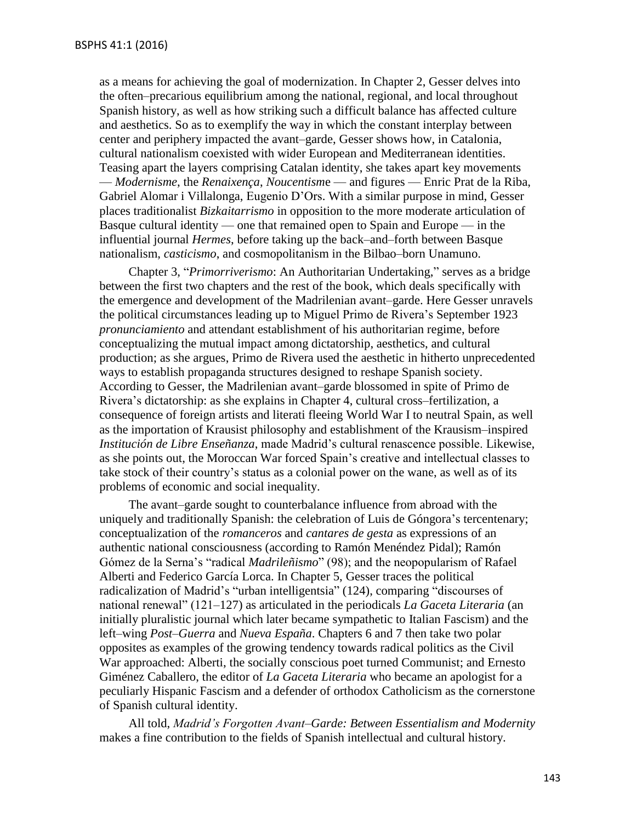as a means for achieving the goal of modernization. In Chapter 2, Gesser delves into the often–precarious equilibrium among the national, regional, and local throughout Spanish history, as well as how striking such a difficult balance has affected culture and aesthetics. So as to exemplify the way in which the constant interplay between center and periphery impacted the avant–garde, Gesser shows how, in Catalonia, cultural nationalism coexisted with wider European and Mediterranean identities. Teasing apart the layers comprising Catalan identity, she takes apart key movements — *Modernisme*, the *Renaixença*, *Noucentism*e — and figures — Enric Prat de la Riba, Gabriel Alomar i Villalonga, Eugenio D'Ors. With a similar purpose in mind, Gesser places traditionalist *Bizkaitarrismo* in opposition to the more moderate articulation of Basque cultural identity — one that remained open to Spain and Europe — in the influential journal *Hermes*, before taking up the back–and–forth between Basque nationalism, *casticismo*, and cosmopolitanism in the Bilbao–born Unamuno.

Chapter 3, "*Primorriverismo*: An Authoritarian Undertaking," serves as a bridge between the first two chapters and the rest of the book, which deals specifically with the emergence and development of the Madrilenian avant–garde. Here Gesser unravels the political circumstances leading up to Miguel Primo de Rivera's September 1923 *pronunciamiento* and attendant establishment of his authoritarian regime, before conceptualizing the mutual impact among dictatorship, aesthetics, and cultural production; as she argues, Primo de Rivera used the aesthetic in hitherto unprecedented ways to establish propaganda structures designed to reshape Spanish society. According to Gesser, the Madrilenian avant–garde blossomed in spite of Primo de Rivera's dictatorship: as she explains in Chapter 4, cultural cross–fertilization, a consequence of foreign artists and literati fleeing World War I to neutral Spain, as well as the importation of Krausist philosophy and establishment of the Krausism–inspired *Institución de Libre Enseñanza*, made Madrid's cultural renascence possible. Likewise, as she points out, the Moroccan War forced Spain's creative and intellectual classes to take stock of their country's status as a colonial power on the wane, as well as of its problems of economic and social inequality.

The avant–garde sought to counterbalance influence from abroad with the uniquely and traditionally Spanish: the celebration of Luis de Góngora's tercentenary; conceptualization of the *romanceros* and *cantares de gesta* as expressions of an authentic national consciousness (according to Ramón Menéndez Pidal); Ramón Gómez de la Serna's "radical *Madrileñismo*" (98); and the neopopularism of Rafael Alberti and Federico García Lorca. In Chapter 5, Gesser traces the political radicalization of Madrid's "urban intelligentsia" (124), comparing "discourses of national renewal" (121–127) as articulated in the periodicals *La Gaceta Literaria* (an initially pluralistic journal which later became sympathetic to Italian Fascism) and the left–wing *Post–Guerra* and *Nueva España*. Chapters 6 and 7 then take two polar opposites as examples of the growing tendency towards radical politics as the Civil War approached: Alberti, the socially conscious poet turned Communist; and Ernesto Giménez Caballero, the editor of *La Gaceta Literaria* who became an apologist for a peculiarly Hispanic Fascism and a defender of orthodox Catholicism as the cornerstone of Spanish cultural identity.

All told, *Madrid's Forgotten Avant–Garde: Between Essentialism and Modernity* makes a fine contribution to the fields of Spanish intellectual and cultural history.